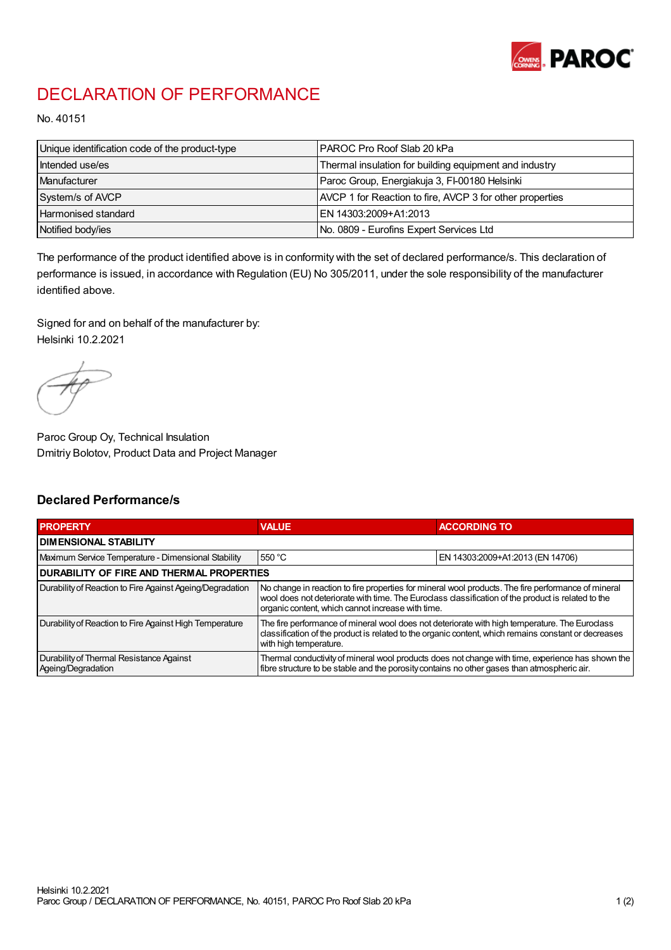

## DECLARATION OF PERFORMANCE

No. 40151

| Unique identification code of the product-type | IPAROC Pro Roof Slab 20 kPa                              |
|------------------------------------------------|----------------------------------------------------------|
| Intended use/es                                | Thermal insulation for building equipment and industry   |
| Manufacturer                                   | Paroc Group, Energiakuja 3, FI-00180 Helsinki            |
| System/s of AVCP                               | AVCP 1 for Reaction to fire, AVCP 3 for other properties |
| Harmonised standard                            | IEN 14303:2009+A1:2013                                   |
| Notified body/ies                              | No. 0809 - Eurofins Expert Services Ltd                  |

The performance of the product identified above is in conformity with the set of declared performance/s. This declaration of performance is issued, in accordance with Regulation (EU) No 305/2011, under the sole responsibility of the manufacturer identified above.

Signed for and on behalf of the manufacturer by: Helsinki 10.2.2021

Paroc Group Oy, Technical Insulation Dmitriy Bolotov, Product Data and Project Manager

## Declared Performance/s

| <b>PROPERTY</b>                                                | <b>VALUE</b>                                                                                                                                                                                                                                                   | <b>ACCORDING TO</b>              |  |
|----------------------------------------------------------------|----------------------------------------------------------------------------------------------------------------------------------------------------------------------------------------------------------------------------------------------------------------|----------------------------------|--|
| <b>DIMENSIONAL STABILITY</b>                                   |                                                                                                                                                                                                                                                                |                                  |  |
| Maximum Service Temperature - Dimensional Stability            | 550 °C                                                                                                                                                                                                                                                         | EN 14303:2009+A1:2013 (EN 14706) |  |
| <b>DURABILITY OF FIRE AND THERMAL PROPERTIES</b>               |                                                                                                                                                                                                                                                                |                                  |  |
| Durability of Reaction to Fire Against Ageing/Degradation      | No change in reaction to fire properties for mineral wool products. The fire performance of mineral<br>wool does not deteriorate with time. The Euroclass classification of the product is related to the<br>organic content, which cannot increase with time. |                                  |  |
| Durability of Reaction to Fire Against High Temperature        | The fire performance of mineral wool does not deteriorate with high temperature. The Euroclass<br>classification of the product is related to the organic content, which remains constant or decreases<br>with high temperature.                               |                                  |  |
| Durability of Thermal Resistance Against<br>Ageing/Degradation | Thermal conductivity of mineral wool products does not change with time, experience has shown the<br>fibre structure to be stable and the porosity contains no other gases than atmospheric air.                                                               |                                  |  |